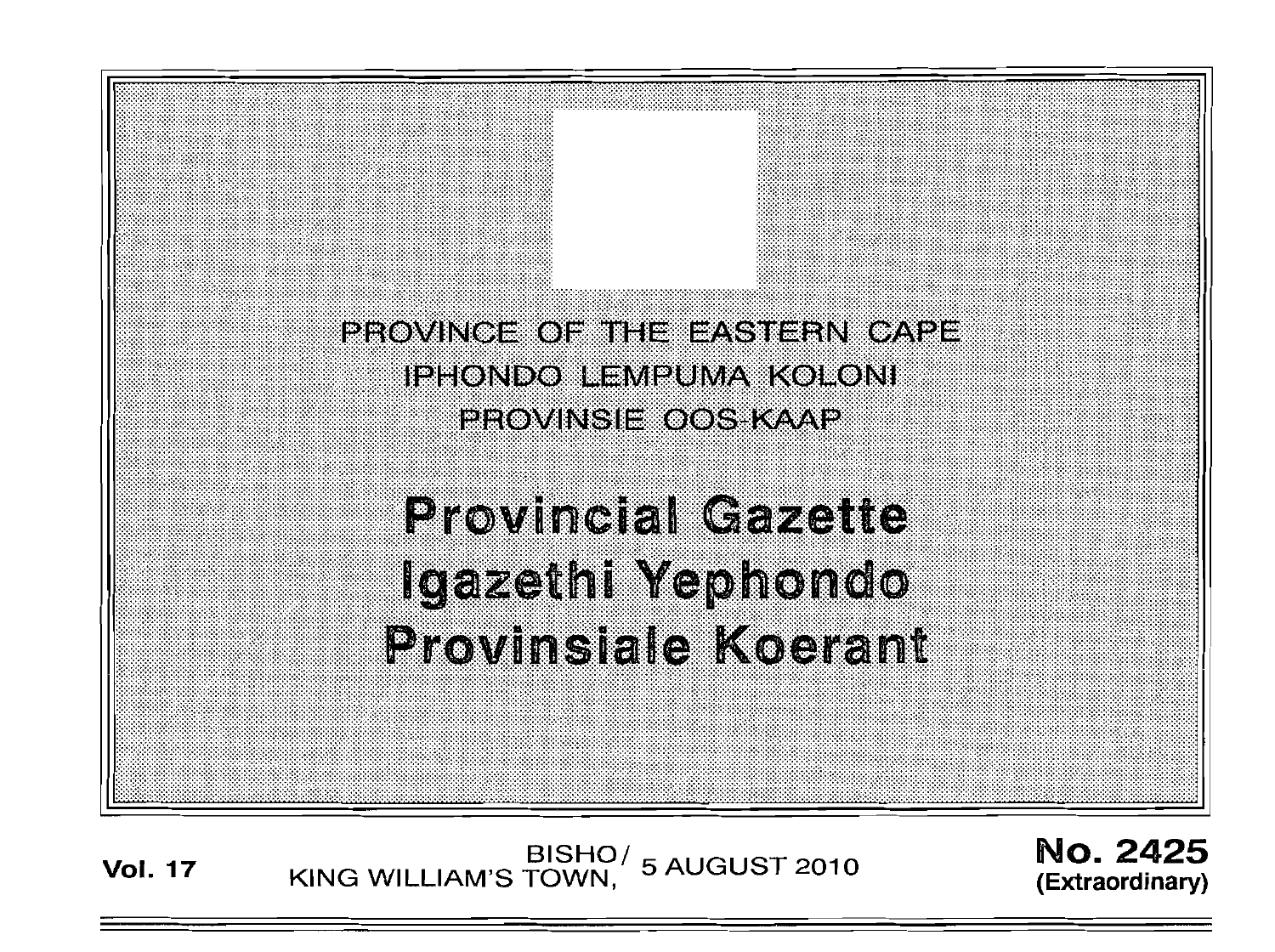PROVINCE OF THE EASTERN CAPE **IPHONDO LEMPUMA KOLONI** PROVINSIE OOS KAAP **Provincial Gazette** Igazethi Yephondo **Provinsiale Koerant** 

**Vol. <sup>17</sup>** BISHO/ KING WILLIAM'S TOWN , 5 AUGUST 2010

No. 2425 **(Extraord inary)**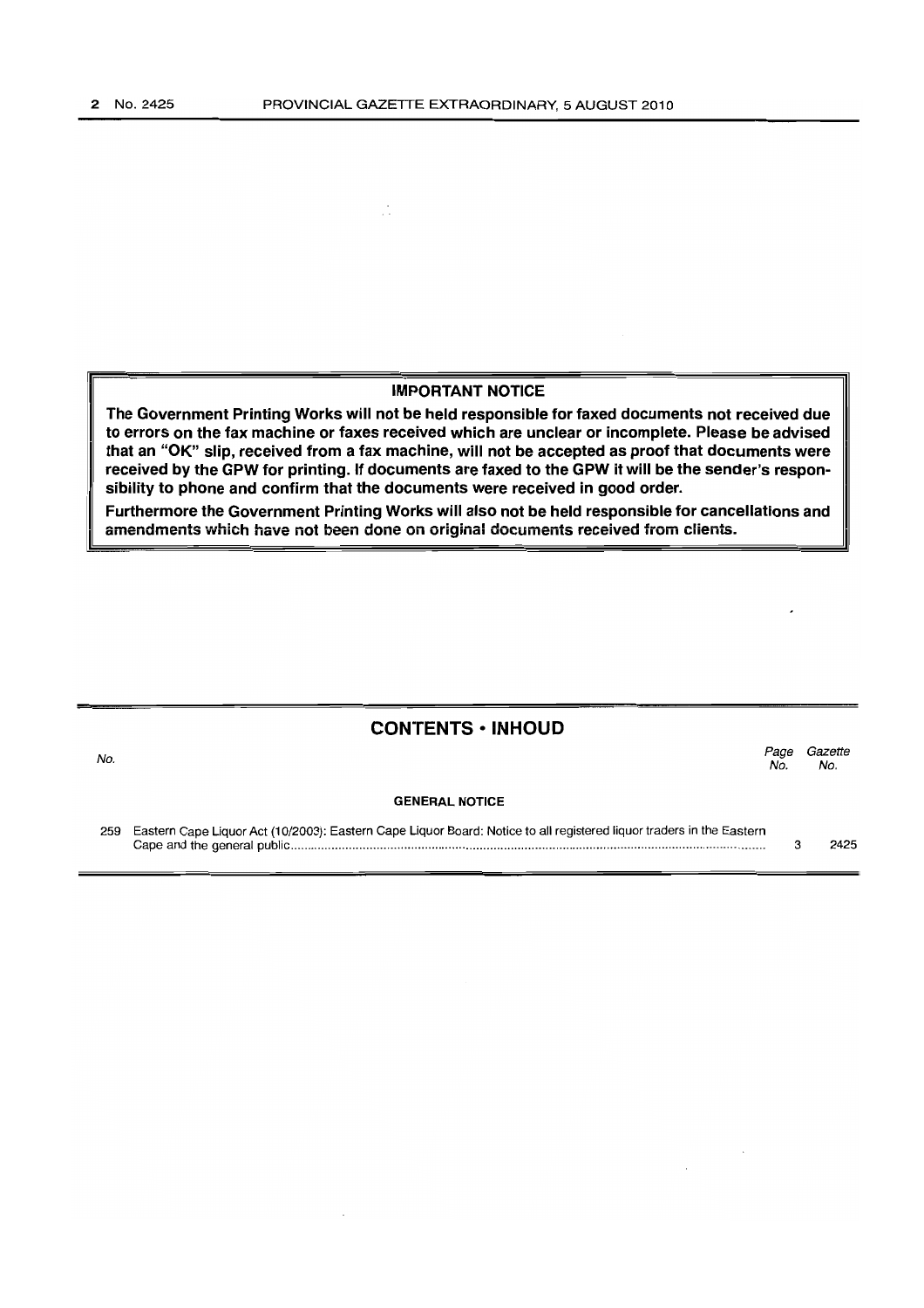$\mathcal{J}$ 

#### IMPORTANT NOTICE

The Government Printing Works will not be held responsible for faxed documents not received due to errors on the fax machine or faxes received which are unclear or incomplete. Please be advised that an "OK" slip, received from a fax machine, will not be accepted as proof that documents were received by the GPW for printing. If documents are faxed to the GPW it will be the sender's responsibility to phone and confirm that the documents were received in good order.

Furthermore the Government Printing Works will also not be held responsible for cancellations and amendments which have not been done on original documents received from clients.

### CONTENTS • INHOUD

No. GENERAL NOTICE Page Gazette No. No.

259 Eastern Cape Liquor Act (10/2003): Eastern Cape Liquor Board: Notice to all registered liquor traders in the Eastern Cape and the general public . 3 2425